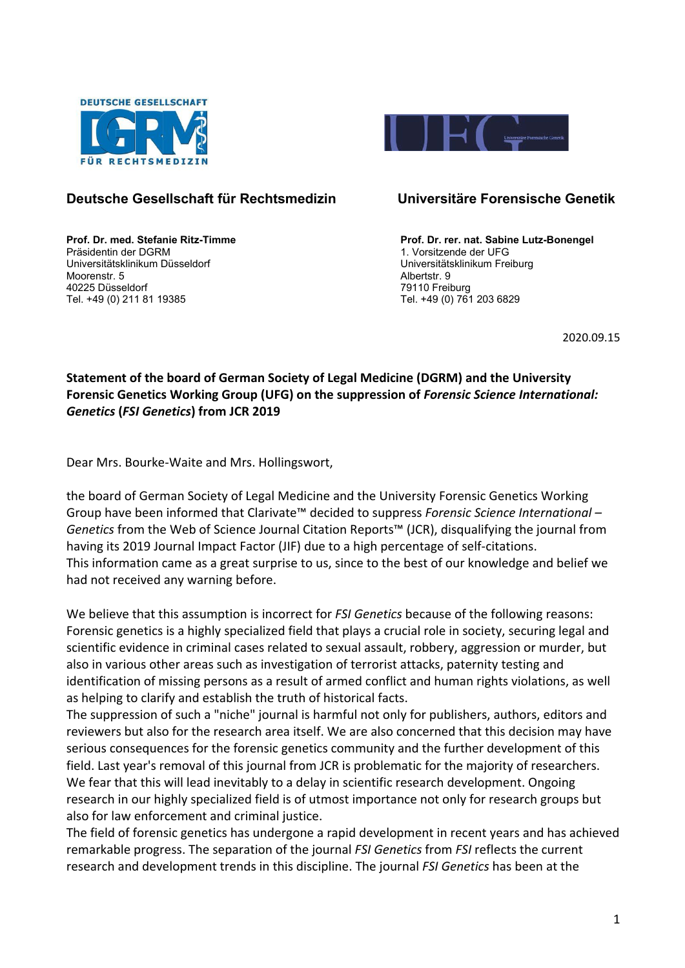



## **Deutsche Gesellschaft für Rechtsmedizin Universitäre Forensische Genetik**

Universitätsklinikum Düsseldorf Universitätsklinikum Freiburg Moorenstr. 5 Albertstr. 9 40225 Düsseldorf 79110 Freiburg Tel. +49 (0) 211 81 19385

**Prof. Dr. med. Stefanie Ritz-Timme <br>Prof. Dr. rer. nat. Sabine Lutz-Bonengel<br>Präsidentin der DGRM** 1. Vorsitzende der UFG

2020.09.15

## **Statement of the board of German Society of Legal Medicine (DGRM) and the University Forensic Genetics Working Group (UFG) on the suppression of** *Forensic Science International: Genetics* **(***FSI Genetics***) from JCR 2019**

Dear Mrs. Bourke-Waite and Mrs. Hollingswort,

the board of German Society of Legal Medicine and the University Forensic Genetics Working Group have been informed that Clarivate™ decided to suppress *Forensic Science International – Genetics* from the Web of Science Journal Citation Reports™ (JCR), disqualifying the journal from having its 2019 Journal Impact Factor (JIF) due to a high percentage of self-citations. This information came as a great surprise to us, since to the best of our knowledge and belief we had not received any warning before.

We believe that this assumption is incorrect for *FSI Genetics* because of the following reasons: Forensic genetics is a highly specialized field that plays a crucial role in society, securing legal and scientific evidence in criminal cases related to sexual assault, robbery, aggression or murder, but also in various other areas such as investigation of terrorist attacks, paternity testing and identification of missing persons as a result of armed conflict and human rights violations, as well as helping to clarify and establish the truth of historical facts.

The suppression of such a "niche" journal is harmful not only for publishers, authors, editors and reviewers but also for the research area itself. We are also concerned that this decision may have serious consequences for the forensic genetics community and the further development of this field. Last year's removal of this journal from JCR is problematic for the majority of researchers. We fear that this will lead inevitably to a delay in scientific research development. Ongoing research in our highly specialized field is of utmost importance not only for research groups but also for law enforcement and criminal justice.

The field of forensic genetics has undergone a rapid development in recent years and has achieved remarkable progress. The separation of the journal *FSI Genetics* from *FSI* reflects the current research and development trends in this discipline. The journal *FSI Genetics* has been at the